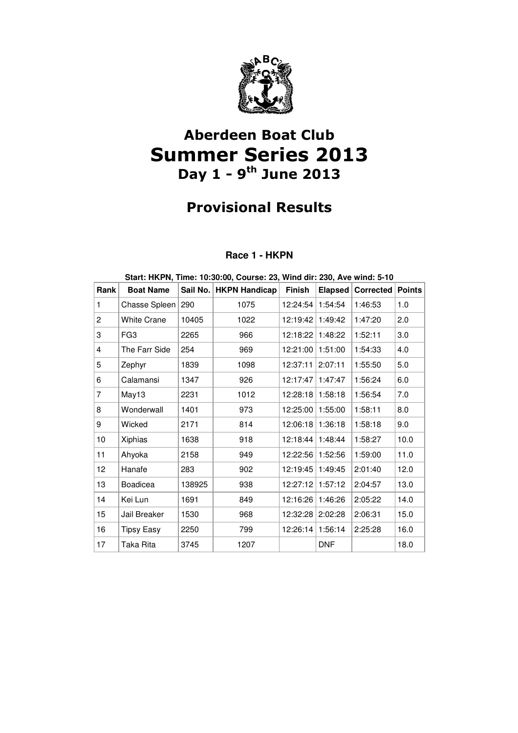

# Aberdeen Boat Club Summer Series 2013 Day  $1 - 9$ <sup>th</sup> June 2013

## Provisional Results

### **Race 1 - HKPN**

| Start: HKPN, Time: 10:30:00, Course: 23, Wind dir: 230, Ave wind: 5-10 |                    |          |                      |               |            |                  |               |
|------------------------------------------------------------------------|--------------------|----------|----------------------|---------------|------------|------------------|---------------|
| Rank                                                                   | <b>Boat Name</b>   | Sail No. | <b>HKPN Handicap</b> | <b>Finish</b> | Elapsed    | <b>Corrected</b> | <b>Points</b> |
| 1                                                                      | Chasse Spleen      | 290      | 1075                 | 12:24:54      | 1:54:54    | 1:46:53          | 1.0           |
| $\mathbf{2}$                                                           | <b>White Crane</b> | 10405    | 1022                 | 12:19:42      | 1:49:42    | 1:47:20          | 2.0           |
| 3                                                                      | FG <sub>3</sub>    | 2265     | 966                  | 12:18:22      | 1:48:22    | 1:52:11          | 3.0           |
| 4                                                                      | The Farr Side      | 254      | 969                  | 12:21:00      | 1:51:00    | 1:54:33          | 4.0           |
| 5                                                                      | Zephyr             | 1839     | 1098                 | 12:37:11      | 2:07:11    | 1:55:50          | 5.0           |
| 6                                                                      | Calamansi          | 1347     | 926                  | 12:17:47      | 1:47:47    | 1:56:24          | 6.0           |
| $\overline{7}$                                                         | May13              | 2231     | 1012                 | 12:28:18      | 1:58:18    | 1:56:54          | 7.0           |
| 8                                                                      | Wonderwall         | 1401     | 973                  | 12:25:00      | 1:55:00    | 1:58:11          | 8.0           |
| 9                                                                      | Wicked             | 2171     | 814                  | 12:06:18      | 1:36:18    | 1:58:18          | 9.0           |
| 10                                                                     | Xiphias            | 1638     | 918                  | 12:18:44      | 1:48:44    | 1:58:27          | 10.0          |
| 11                                                                     | Ahyoka             | 2158     | 949                  | 12:22:56      | 1:52:56    | 1:59:00          | 11.0          |
| 12 <sub>2</sub>                                                        | Hanafe             | 283      | 902                  | 12:19:45      | 1:49:45    | 2:01:40          | 12.0          |
| 13                                                                     | Boadicea           | 138925   | 938                  | 12:27:12      | 1:57:12    | 2:04:57          | 13.0          |
| 14                                                                     | Kei Lun            | 1691     | 849                  | 12:16:26      | 1:46:26    | 2:05:22          | 14.0          |
| 15                                                                     | Jail Breaker       | 1530     | 968                  | 12:32:28      | 2:02:28    | 2:06:31          | 15.0          |
| 16                                                                     | Tipsy Easy         | 2250     | 799                  | 12:26:14      | 1:56:14    | 2:25:28          | 16.0          |
| 17                                                                     | Taka Rita          | 3745     | 1207                 |               | <b>DNF</b> |                  | 18.0          |